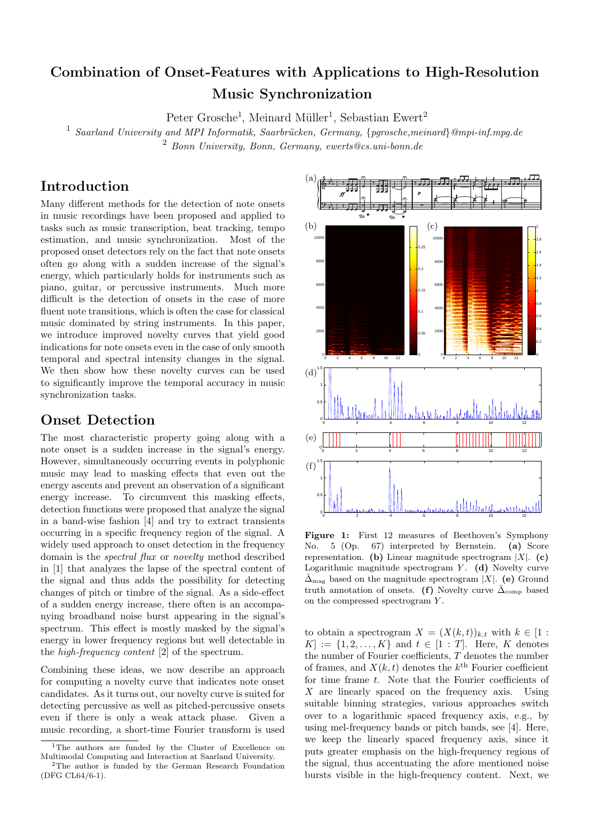# Combination of Onset-Features with Applications to High-Resolution Music Synchronization

Peter Grosche<sup>1</sup>, Meinard Müller<sup>1</sup>, Sebastian Ewert<sup>2</sup>

 $^1$  Saarland University and MPI Informatik, Saarbrücken, Germany, {pgrosche,meinard}@mpi-inf.mpg.de

<sup>2</sup> Bonn University, Bonn, Germany, ewerts@cs.uni-bonn.de

# Introduction

Many different methods for the detection of note onsets in music recordings have been proposed and applied to tasks such as music transcription, beat tracking, tempo estimation, and music synchronization. Most of the proposed onset detectors rely on the fact that note onsets often go along with a sudden increase of the signal's energy, which particularly holds for instruments such as piano, guitar, or percussive instruments. Much more difficult is the detection of onsets in the case of more fluent note transitions, which is often the case for classical music dominated by string instruments. In this paper, we introduce improved novelty curves that yield good indications for note onsets even in the case of only smooth temporal and spectral intensity changes in the signal. We then show how these novelty curves can be used to significantly improve the temporal accuracy in music synchronization tasks.

## Onset Detection

The most characteristic property going along with a note onset is a sudden increase in the signal's energy. However, simultaneously occurring events in polyphonic music may lead to masking effects that even out the energy ascents and prevent an observation of a significant energy increase. To circumvent this masking effects, detection functions were proposed that analyze the signal in a band-wise fashion [4] and try to extract transients occurring in a specific frequency region of the signal. A widely used approach to onset detection in the frequency domain is the spectral flux or novelty method described in [1] that analyzes the lapse of the spectral content of the signal and thus adds the possibility for detecting changes of pitch or timbre of the signal. As a side-effect of a sudden energy increase, there often is an accompanying broadband noise burst appearing in the signal's spectrum. This effect is mostly masked by the signal's energy in lower frequency regions but well detectable in the high-frequency content [2] of the spectrum.

Combining these ideas, we now describe an approach for computing a novelty curve that indicates note onset candidates. As it turns out, our novelty curve is suited for detecting percussive as well as pitched-percussive onsets even if there is only a weak attack phase. Given a music recording, a short-time Fourier transform is used



Figure 1: First 12 measures of Beethoven's Symphony No. 5 (Op. 67) interpreted by Bernstein. (a) Score representation. (b) Linear magnitude spectrogram  $|X|$ . (c) Logarithmic magnitude spectrogram  $Y$ . (d) Novelty curve  $\bar{\Delta}_{\text{mag}}$  based on the magnitude spectrogram |X|. (e) Ground truth annotation of onsets. (f) Novelty curve  $\bar{\Delta}_{\text{comp}}$  based on the compressed spectrogram Y .

to obtain a spectrogram  $X = (X(k,t))_{k,t}$  with  $k \in [1:$  $[K] := \{1, 2, ..., K\}$  and  $t \in [1 : T]$ . Here, K denotes the number of Fourier coefficients, T denotes the number of frames, and  $X(k,t)$  denotes the  $k^{\text{th}}$  Fourier coefficient for time frame t. Note that the Fourier coefficients of  $X$  are linearly spaced on the frequency axis. Using suitable binning strategies, various approaches switch over to a logarithmic spaced frequency axis, e.g., by using mel-frequency bands or pitch bands, see [4]. Here, we keep the linearly spaced frequency axis, since it puts greater emphasis on the high-frequency regions of the signal, thus accentuating the afore mentioned noise bursts visible in the high-frequency content. Next, we

<sup>&</sup>lt;sup>1</sup>The authors are funded by the Cluster of Excellence on Multimodal Computing and Interaction at Saarland University.

<sup>2</sup>The author is funded by the German Research Foundation (DFG CL64/6-1).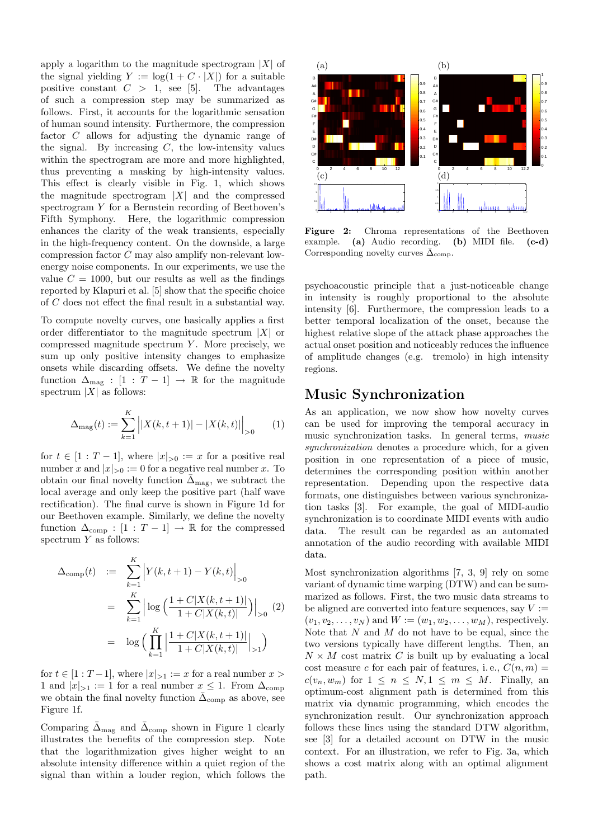apply a logarithm to the magnitude spectrogram  $|X|$  of the signal yielding  $Y := \log(1 + C \cdot |X|)$  for a suitable positive constant  $C > 1$ , see [5]. The advantages of such a compression step may be summarized as follows. First, it accounts for the logarithmic sensation of human sound intensity. Furthermore, the compression factor C allows for adjusting the dynamic range of the signal. By increasing  $C$ , the low-intensity values within the spectrogram are more and more highlighted, thus preventing a masking by high-intensity values. This effect is clearly visible in Fig. 1, which shows the magnitude spectrogram  $|X|$  and the compressed spectrogram Y for a Bernstein recording of Beethoven's Fifth Symphony. Here, the logarithmic compression enhances the clarity of the weak transients, especially in the high-frequency content. On the downside, a large compression factor C may also amplify non-relevant lowenergy noise components. In our experiments, we use the value  $C = 1000$ , but our results as well as the findings reported by Klapuri et al. [5] show that the specific choice of C does not effect the final result in a substantial way.

To compute novelty curves, one basically applies a first order differentiator to the magnitude spectrum  $|X|$  or compressed magnitude spectrum  $Y$ . More precisely, we sum up only positive intensity changes to emphasize onsets while discarding offsets. We define the novelty function  $\Delta_{\text{mag}}$  :  $[1 : T - 1] \rightarrow \mathbb{R}$  for the magnitude spectrum  $|X|$  as follows:

$$
\Delta_{\text{mag}}(t) := \sum_{k=1}^{K} \left| |X(k, t+1)| - |X(k, t)| \right|_{>0} \tag{1}
$$

for  $t \in [1 : T - 1]$ , where  $|x|_{>0} := x$  for a positive real number x and  $|x|_{>0} := 0$  for a negative real number x. To obtain our final novelty function  $\overline{\Delta}_{\text{mag}}$ , we subtract the local average and only keep the positive part (half wave rectification). The final curve is shown in Figure 1d for our Beethoven example. Similarly, we define the novelty function  $\Delta_{\text{comp}} : [1 : T - 1] \rightarrow \mathbb{R}$  for the compressed spectrum  $Y$  as follows:

$$
\Delta_{\text{comp}}(t) := \sum_{k=1}^{K} \left| Y(k, t+1) - Y(k, t) \right|_{>0}
$$
  
\n
$$
= \sum_{k=1}^{K} \left| \log \left( \frac{1 + C|X(k, t+1)|}{1 + C|X(k, t)|} \right) \right|_{>0} (2)
$$
  
\n
$$
= \log \left( \prod_{k=1}^{K} \left| \frac{1 + C|X(k, t+1)|}{1 + C|X(k, t)|} \right|_{>1} \right)
$$

for  $t \in [1 : T-1]$ , where  $|x|_{>1} := x$  for a real number  $x >$ 1 and  $|x|_{>1} := 1$  for a real number  $x \leq 1$ . From  $\Delta_{\text{comp}}$ we obtain the final novelty function  $\bar{\Delta}_{\text{comp}}$  as above, see Figure 1f.

Comparing  $\bar{\Delta}_{\text{mag}}$  and  $\bar{\Delta}_{\text{comp}}$  shown in Figure 1 clearly illustrates the benefits of the compression step. Note that the logarithmization gives higher weight to an absolute intensity difference within a quiet region of the signal than within a louder region, which follows the



Figure 2: Chroma representations of the Beethoven example. (a) Audio recording. (b) MIDI file. (c-d) Corresponding novelty curves  $\bar{\Delta}_{\text{comp}}$ .

psychoacoustic principle that a just-noticeable change in intensity is roughly proportional to the absolute intensity [6]. Furthermore, the compression leads to a better temporal localization of the onset, because the highest relative slope of the attack phase approaches the actual onset position and noticeably reduces the influence of amplitude changes (e.g. tremolo) in high intensity regions.

### Music Synchronization

As an application, we now show how novelty curves can be used for improving the temporal accuracy in music synchronization tasks. In general terms, music synchronization denotes a procedure which, for a given position in one representation of a piece of music, determines the corresponding position within another representation. Depending upon the respective data formats, one distinguishes between various synchronization tasks [3]. For example, the goal of MIDI-audio synchronization is to coordinate MIDI events with audio data. The result can be regarded as an automated annotation of the audio recording with available MIDI data.

Most synchronization algorithms [7, 3, 9] rely on some variant of dynamic time warping (DTW) and can be summarized as follows. First, the two music data streams to be aligned are converted into feature sequences, say  $V :=$  $(v_1,v_2,\ldots,v_N)$  and  $W := (w_1,w_2,\ldots,w_M)$ , respectively. Note that  $N$  and  $M$  do not have to be equal, since the two versions typically have different lengths. Then, an  $N \times M$  cost matrix C is built up by evaluating a local cost measure c for each pair of features, i.e.,  $C(n, m) =$  $c(v_n, w_m)$  for  $1 \leq n \leq N, 1 \leq m \leq M$ . Finally, an optimum-cost alignment path is determined from this matrix via dynamic programming, which encodes the synchronization result. Our synchronization approach follows these lines using the standard DTW algorithm, see [3] for a detailed account on DTW in the music context. For an illustration, we refer to Fig. 3a, which shows a cost matrix along with an optimal alignment path.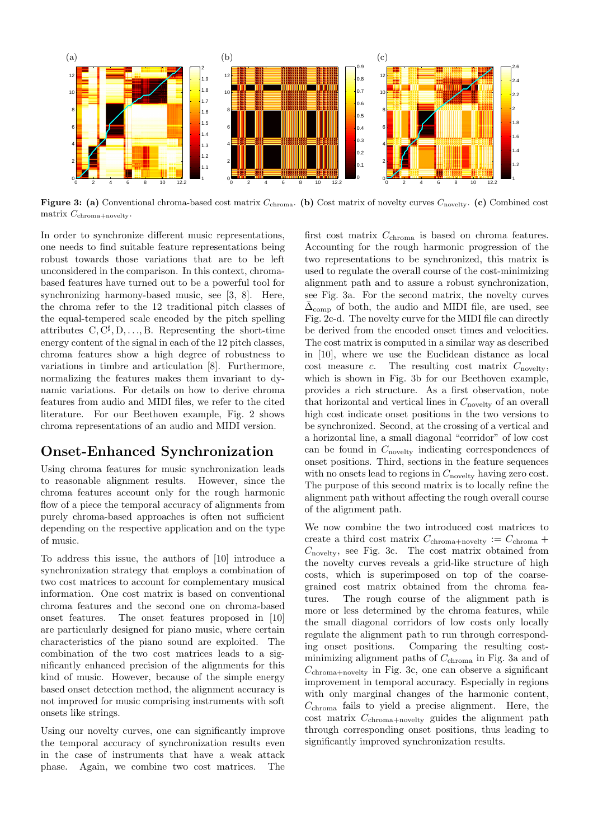

Figure 3: (a) Conventional chroma-based cost matrix  $C_{\text{chroma}}$ . (b) Cost matrix of novelty curves  $C_{\text{novelty}}$ . (c) Combined cost matrix  $C_{\text{chroma}+\text{novelty}}$ .

In order to synchronize different music representations, one needs to find suitable feature representations being robust towards those variations that are to be left unconsidered in the comparison. In this context, chromabased features have turned out to be a powerful tool for synchronizing harmony-based music, see [3, 8]. Here, the chroma refer to the 12 traditional pitch classes of the equal-tempered scale encoded by the pitch spelling attributes  $C, C^{\sharp}, D, \ldots, B$ . Representing the short-time energy content of the signal in each of the 12 pitch classes, chroma features show a high degree of robustness to variations in timbre and articulation [8]. Furthermore, normalizing the features makes them invariant to dynamic variations. For details on how to derive chroma features from audio and MIDI files, we refer to the cited literature. For our Beethoven example, Fig. 2 shows chroma representations of an audio and MIDI version.

#### Onset-Enhanced Synchronization

Using chroma features for music synchronization leads to reasonable alignment results. However, since the chroma features account only for the rough harmonic flow of a piece the temporal accuracy of alignments from purely chroma-based approaches is often not sufficient depending on the respective application and on the type of music.

To address this issue, the authors of [10] introduce a synchronization strategy that employs a combination of two cost matrices to account for complementary musical information. One cost matrix is based on conventional chroma features and the second one on chroma-based onset features. The onset features proposed in [10] are particularly designed for piano music, where certain characteristics of the piano sound are exploited. The combination of the two cost matrices leads to a significantly enhanced precision of the alignments for this kind of music. However, because of the simple energy based onset detection method, the alignment accuracy is not improved for music comprising instruments with soft onsets like strings.

Using our novelty curves, one can significantly improve the temporal accuracy of synchronization results even in the case of instruments that have a weak attack phase. Again, we combine two cost matrices. The

first cost matrix  $C_{\text{chroma}}$  is based on chroma features. Accounting for the rough harmonic progression of the two representations to be synchronized, this matrix is used to regulate the overall course of the cost-minimizing alignment path and to assure a robust synchronization, see Fig. 3a. For the second matrix, the novelty curves  $\bar{\Delta}_{\text{comp}}$  of both, the audio and MIDI file, are used, see Fig. 2c-d. The novelty curve for the MIDI file can directly be derived from the encoded onset times and velocities. The cost matrix is computed in a similar way as described in [10], where we use the Euclidean distance as local cost measure  $c$ . The resulting cost matrix  $C_{\text{noveltv}}$ , which is shown in Fig. 3b for our Beethoven example, provides a rich structure. As a first observation, note that horizontal and vertical lines in  $C_{\text{novelty}}$  of an overall high cost indicate onset positions in the two versions to be synchronized. Second, at the crossing of a vertical and a horizontal line, a small diagonal "corridor" of low cost can be found in  $C_{\text{novelty}}$  indicating correspondences of onset positions. Third, sections in the feature sequences with no onsets lead to regions in  $C_{\text{noveltv}}$  having zero cost. The purpose of this second matrix is to locally refine the alignment path without affecting the rough overall course of the alignment path.

We now combine the two introduced cost matrices to create a third cost matrix  $C_{\text{chroma}+\text{novelty}} := C_{\text{chroma}} +$  $C_{\text{noveltv}}$ , see Fig. 3c. The cost matrix obtained from the novelty curves reveals a grid-like structure of high costs, which is superimposed on top of the coarsegrained cost matrix obtained from the chroma features. The rough course of the alignment path is more or less determined by the chroma features, while the small diagonal corridors of low costs only locally regulate the alignment path to run through corresponding onset positions. Comparing the resulting costminimizing alignment paths of  $C_{\text{chroma}}$  in Fig. 3a and of  $C_{\rm chroma+noveltv}$  in Fig. 3c, one can observe a significant improvement in temporal accuracy. Especially in regions with only marginal changes of the harmonic content,  $C_{\text{chroma}}$  fails to yield a precise alignment. Here, the cost matrix  $C_{\text{chroma+novelty}}$  guides the alignment path through corresponding onset positions, thus leading to significantly improved synchronization results.